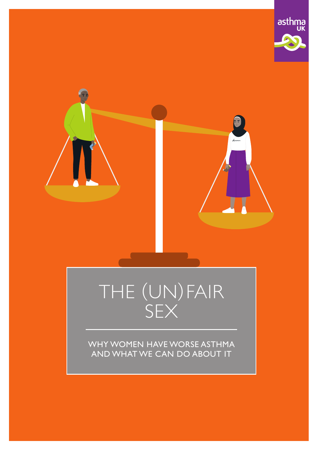



# THE (UN)FAIR SEX

WHY WOMEN HAVE WORSE ASTHMA AND WHAT WE CAN DO ABOUT IT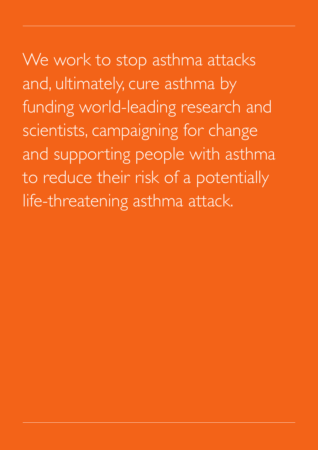We work to stop asthma attacks and, ultimately, cure asthma by funding world-leading research and scientists, campaigning for change and supporting people with asthma to reduce their risk of a potentially life-threatening asthma attack.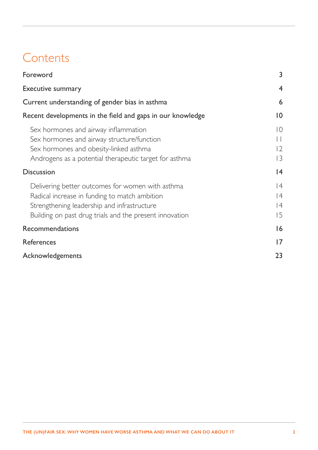# **Contents**

| Foreword                                                                                                                                                                                                    | 3                                             |
|-------------------------------------------------------------------------------------------------------------------------------------------------------------------------------------------------------------|-----------------------------------------------|
| <b>Executive summary</b>                                                                                                                                                                                    | $\overline{4}$                                |
| Current understanding of gender bias in asthma                                                                                                                                                              | $\boldsymbol{6}$                              |
| Recent developments in the field and gaps in our knowledge                                                                                                                                                  | $ 0\rangle$                                   |
| Sex hormones and airway inflammation<br>Sex hormones and airway structure/function<br>Sex hormones and obesity-linked asthma<br>Androgens as a potential therapeutic target for asthma                      | $\overline{0}$<br>$\vert \ \vert$<br>12<br> 3 |
| <b>Discussion</b>                                                                                                                                                                                           | 4                                             |
| Delivering better outcomes for women with asthma<br>Radical increase in funding to match ambition<br>Strengthening leadership and infrastructure<br>Building on past drug trials and the present innovation | 4<br> 4<br> 4<br>15                           |
| Recommendations                                                                                                                                                                                             | 16                                            |
| <b>References</b>                                                                                                                                                                                           | 17                                            |
| Acknowledgements                                                                                                                                                                                            | 23                                            |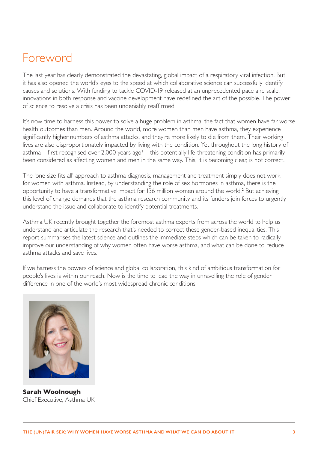# <span id="page-3-0"></span>Foreword

The last year has clearly demonstrated the devastating, global impact of a respiratory viral infection. But it has also opened the world's eyes to the speed at which collaborative science can successfully identify causes and solutions. With funding to tackle COVID-19 released at an unprecedented pace and scale, innovations in both response and vaccine development have redefined the art of the possible. The power of science to resolve a crisis has been undeniably reaffirmed.

It's now time to harness this power to solve a huge problem in asthma: the fact that women have far worse health outcomes than men. Around the world, more women than men have asthma, they experience significantly higher numbers of asthma attacks, and they're more likely to die from them. Their working lives are also disproportionately impacted by living with the condition. Yet throughout the long history of asthma – first recognised over 2,000 years ago<sup>[1](#page-17-1)</sup> – this potentially life-threatening condition has primarily been considered as affecting women and men in the same way. This, it is becoming clear, is not correct.

The 'one size fits all' approach to asthma diagnosis, management and treatment simply does not work for women with asthma. Instead, by understanding the role of sex hormones in asthma, there is the opportunity to have a transformative impact for 136 million women around the world.<sup>[2](#page-17-2)</sup> But achieving this level of change demands that the asthma research community and its funders join forces to urgently understand the issue and collaborate to identify potential treatments.

Asthma UK recently brought together the foremost asthma experts from across the world to help us understand and articulate the research that's needed to correct these gender-based inequalities. This report summarises the latest science and outlines the immediate steps which can be taken to radically improve our understanding of why women often have worse asthma, and what can be done to reduce asthma attacks and save lives.

If we harness the powers of science and global collaboration, this kind of ambitious transformation for people's lives is within our reach. Now is the time to lead the way in unravelling the role of gender difference in one of the world's most widespread chronic conditions.



**Sarah Woolnough** Chief Executive, Asthma UK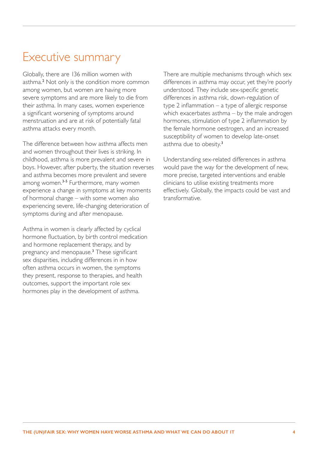# <span id="page-4-0"></span>Executive summary

Globally, there are 136 million women with asthma.[2](#page-17-2) Not only is the condition more common among women, but women are having more severe symptoms and are more likely to die from their asthma. In many cases, women experience a significant worsening of symptoms around menstruation and are at risk of potentially fatal asthma attacks every month.

The difference between how asthma affects men and women throughout their lives is striking. In childhood, asthma is more prevalent and severe in boys. However, after puberty, the situation reverses and asthma becomes more prevalent and severe among women.<sup>[3](#page-17-3)-[5](#page-17-4)</sup> Furthermore, many women experience a change in symptoms at key moments of hormonal change – with some women also experiencing severe, life-changing deterioration of symptoms during and after menopause.

Asthma in women is clearly affected by cyclical hormone fluctuation, by birth control medication and hormone replacement therapy, and by pregnancy and menopause.[3](#page-17-3) These significant sex disparities, including differences in in how often asthma occurs in women, the symptoms they present, response to therapies, and health outcomes, support the important role sex hormones play in the development of asthma.

There are multiple mechanisms through which sex differences in asthma may occur, yet they're poorly understood. They include sex-specific genetic differences in asthma risk, down-regulation of type 2 inflammation – a type of allergic response which exacerbates asthma – by the male androgen hormones, stimulation of type 2 inflammation by the female hormone oestrogen, and an increased susceptibility of women to develop late-onset asthma due to obesity.<sup>[3](#page-17-3)</sup>

Understanding sex-related differences in asthma would pave the way for the development of new, more precise, targeted interventions and enable clinicians to utilise existing treatments more effectively. Globally, the impacts could be vast and transformative.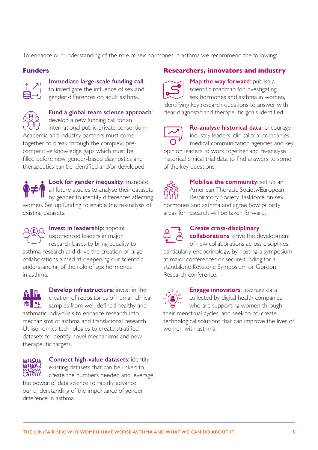To enhance our understanding of the role of sex hormones in asthma we recommend the following:

### **Funders**



### **Immediate large-scale funding call**:

to investigate the influence of sex and gender differences on adult asthma.



# **Fund a global team science approach**:

develop a new funding call for an international public-private consortium. Academia and industry partners must come together to break through the complex, precompetitive knowledge gaps which must be filled before new, gender-based diagnostics and therapeutics can be identified and/or developed.

**Look for gender inequality: mandate** all future studies to analyse their datasets by gender to identify differences affecting women. Set up funding to enable the re-analysis of existing datasets.



# **Invest in leadership**: appoint experienced leaders in major research bases to bring equality to asthma research and drive the creation of large

collaborations aimed at deepening our scientific understanding of the role of sex hormones in asthma.

**Develop infrastructure**: invest in the ₩H creation of repositories of human clinical samples from well-defined healthy and asthmatic individuals to enhance research into mechanisms of asthma and translational research. Utilise -omics technologies to create stratified datasets to identify novel mechanisms and new therapeutic targets.



**Connect high-value datasets**: identify existing datasets that can be linked to create the numbers needed and leverage the power of data science to rapidly advance

our understanding of the importance of gender difference in asthma.

### **Researchers, innovators and industry**



**Map the way forward**: publish a scientific roadmap for investigating sex hormones and asthma in women, identifying key research questions to answer with

clear diagnostic and therapeutic goals identified.



**Re-analyse historical data**: encourage industry leaders, clinical trial companies, medical communication agencies and key

opinion leaders to work together and re-analyse historical clinical trial data to find answers to some of the key questions.



**Mobilise the community: set up an** American Thoracic Society/European Respiratory Society Taskforce on sex hormones and asthma and agree how priority areas for research will be taken forward.



### **Create cross-disciplinary**

**collaborations**: drive the development of new collaborations across disciplines, particularly endocrinology, by hosting a symposium at major conferences or secure funding for a standalone Keystone Symposium or Gordon Research conference.



**Engage innovators:** leverage data collected by digital health companies who are supporting women through their menstrual cycles, and seek to co-create technological solutions that can improve the lives of women with asthma.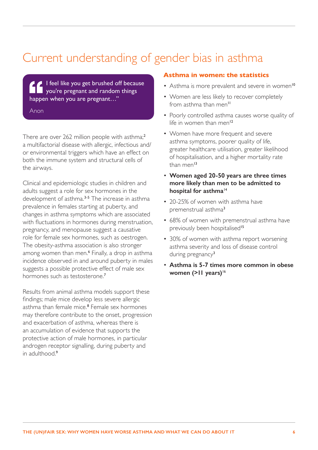# <span id="page-6-0"></span>Current understanding of gender bias in asthma

I feel like you get brushed off because you're pregnant and random things happen when you are pregnant…"

Anon

There are over [2](#page-17-2)62 million people with asthma;<sup>2</sup> a multifactorial disease with allergic, infectious and/ or environmental triggers which have an effect on both the immune system and structural cells of the airways.

Clinical and epidemiologic studies in children and adults suggest a role for sex hormones in the development of asthma.<sup>[3-](#page-17-3)[5](#page-17-4)</sup> The increase in asthma prevalence in females starting at puberty, and changes in asthma symptoms which are associated with fluctuations in hormones during menstruation, pregnancy, and menopause suggest a causative role for female sex hormones, such as oestrogen. The obesity-asthma association is also stronger among women than men.[6](#page-17-5) Finally, a drop in asthma incidence observed in and around puberty in males suggests a possible protective effect of male sex hormones such as testosterone.[7](#page-17-6)

Results from animal asthma models support these findings; male mice develop less severe allergic asthma than female mice.[8](#page-17-7) Female sex hormones may therefore contribute to the onset, progression and exacerbation of asthma, whereas there is an accumulation of evidence that supports the protective action of male hormones, in particular androgen receptor signalling, during puberty and in adulthood.<sup>[9](#page-17-8)</sup>

#### **Asthma in women: the statistics**

- Asthma is more prevalent and severe in women<sup>[10](#page-17-9)</sup>
- Women are less likely to recover completely from asthma than men<sup>[11](#page-17-10)</sup>
- Poorly controlled asthma causes worse quality of life in women than men<sup>[12](#page-17-11)</sup>
- Women have more frequent and severe asthma symptoms, poorer quality of life, greater healthcare utilisation, greater likelihood of hospitalisation, and a higher mortality rate than men<sup>[13](#page-18-0)</sup>
- **Women aged 20-50 years are three times more likely than men to be admitted to hospital for asthma**[14](#page-18-1)
- 20-25% of women with asthma have premenstrual asthma[3](#page-17-3)
- 68% of women with premenstrual asthma have previously been hospitalised<sup>[15](#page-18-2)</sup>
- 30% of women with asthma report worsening asthma severity and loss of disease control during pregnancy<sup>[3](#page-17-3)</sup>
- **Asthma is 5-7 times more common in obese**  women (>11 years)<sup>[16](#page-18-3)</sup>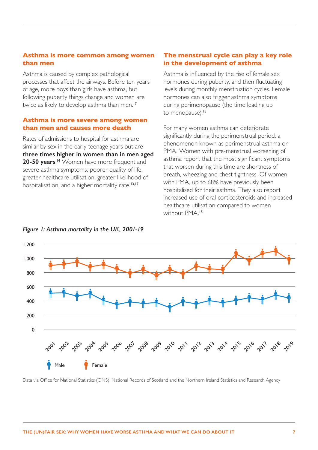#### **Asthma is more common among women than men**

Asthma is caused by complex pathological processes that affect the airways. Before ten years of age, more boys than girls have asthma, but following puberty things change and women are twice as likely to develop asthma than men.<sup>[17](#page-18-4)</sup>

#### **Asthma is more severe among women than men and causes more death**

Rates of admissions to hospital for asthma are similar by sex in the early teenage years but are **three times higher in women than in men aged 20-50 years**. [14](#page-18-1) Women have more frequent and severe asthma symptoms, poorer quality of life, greater healthcare utilisation, greater likelihood of hospitalisation, and a higher mortality rate.<sup>[13](#page-18-0),[17](#page-18-4)</sup>

#### **The menstrual cycle can play a key role in the development of asthma**

Asthma is influenced by the rise of female sex hormones during puberty, and then fluctuating levels during monthly menstruation cycles. Female hormones can also trigger asthma symptoms during perimenopause (the time leading up to menopause).<sup>[15](#page-18-2)</sup>

For many women asthma can deteriorate significantly during the perimenstrual period, a phenomenon known as perimenstrual asthma or PMA. Women with pre-menstrual worsening of asthma report that the most significant symptoms that worsen during this time are shortness of breath, wheezing and chest tightness. Of women with PMA, up to 68% have previously been hospitalised for their asthma. They also report increased use of oral corticosteroids and increased healthcare utilisation compared to women without PMA.[15](#page-18-2)



#### *Figure 1: Asthma mortality in the UK, 2001-19*

Data via Office for National Statistics (ONS), National Records of Scotland and the Northern Ireland Statistics and Research Agency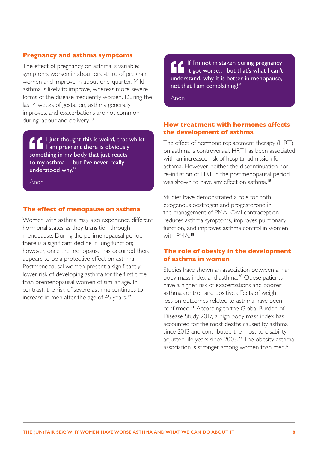#### **Pregnancy and asthma symptoms**

The effect of pregnancy on asthma is variable: symptoms worsen in about one-third of pregnant women and improve in about one-quarter. Mild asthma is likely to improve, whereas more severe forms of the disease frequently worsen. During the last 4 weeks of gestation, asthma generally improves, and exacerbations are not common during labour and delivery.<sup>[18](#page-18-5)</sup>

I just thought this is weird, that whilst I am pregnant there is obviously something in my body that just reacts to my asthma… but I've never really understood why."

Anon

#### **The effect of menopause on asthma**

Women with asthma may also experience different hormonal states as they transition through menopause. During the perimenopausal period there is a significant decline in lung function; however, once the menopause has occurred there appears to be a protective effect on asthma. Postmenopausal women present a significantly lower risk of developing asthma for the first time than premenopausal women of similar age. In contrast, the risk of severe asthma continues to increase in men after the age of 45 years.<sup>[19](#page-18-6)</sup>

If I'm not mistaken during pregnancy it got worse... but that's what  $\mathsf I$  can't understand, why it is better in menopause, not that I am complaining!"

Anon

#### **How treatment with hormones affects the development of asthma**

The effect of hormone replacement therapy (HRT) on asthma is controversial. HRT has been associated with an increased risk of hospital admission for asthma. However, neither the discontinuation nor re-initiation of HRT in the postmenopausal period was shown to have any effect on asthma.<sup>[18](#page-18-5)</sup>

Studies have demonstrated a role for both exogenous oestrogen and progesterone in the management of PMA. Oral contraception reduces asthma symptoms, improves pulmonary function, and improves asthma control in women with PMA.[18](#page-18-5)

#### **The role of obesity in the development of asthma in women**

Studies have shown an association between a high body mass index and asthma.[20](#page-18-7) Obese patients have a higher risk of exacerbations and poorer asthma control; and positive effects of weight loss on outcomes related to asthma have been confirmed.[21](#page-18-8) According to the Global Burden of Disease Study 2017, a high body mass index has accounted for the most deaths caused by asthma since 2013 and contributed the most to disability adjusted life years since 2003.<sup>[22](#page-18-9)</sup> The obesity-asthma association is stronger among women than men.<sup>[6](#page-17-5)</sup>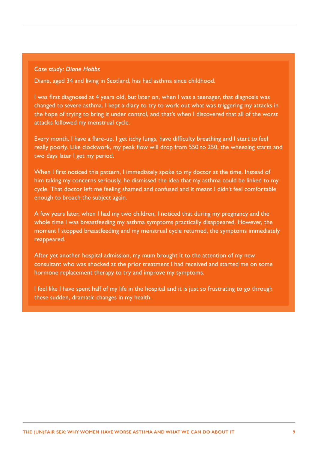#### *Case study: Diane Hobbs*

Diane, aged 34 and living in Scotland, has had asthma since childhood.

I was first diagnosed at 4 years old, but later on, when I was a teenager, that diagnosis was changed to severe asthma. I kept a diary to try to work out what was triggering my attacks in the hope of trying to bring it under control, and that's when I discovered that all of the worst attacks followed my menstrual cycle.

Every month, I have a flare-up. I get itchy lungs, have difficulty breathing and I start to feel really poorly. Like clockwork, my peak flow will drop from 550 to 250, the wheezing starts and two days later I get my period.

When I first noticed this pattern, I immediately spoke to my doctor at the time. Instead of him taking my concerns seriously, he dismissed the idea that my asthma could be linked to my cycle. That doctor left me feeling shamed and confused and it meant I didn't feel comfortable enough to broach the subject again.

A few years later, when I had my two children, I noticed that during my pregnancy and the whole time I was breastfeeding my asthma symptoms practically disappeared. However, the moment I stopped breastfeeding and my menstrual cycle returned, the symptoms immediately reappeared.

After yet another hospital admission, my mum brought it to the attention of my new consultant who was shocked at the prior treatment I had received and started me on some hormone replacement therapy to try and improve my symptoms.

I feel like I have spent half of my life in the hospital and it is just so frustrating to go through these sudden, dramatic changes in my health.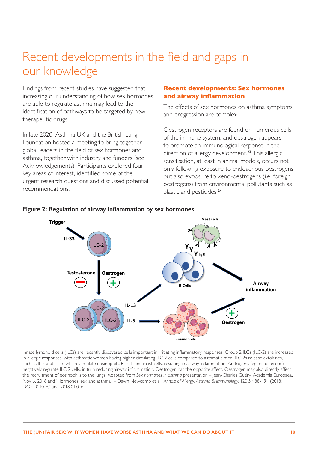# <span id="page-10-0"></span>Recent developments in the field and gaps in our knowledge

Findings from recent studies have suggested that increasing our understanding of how sex hormones are able to regulate asthma may lead to the identification of pathways to be targeted by new therapeutic drugs.

In late 2020, Asthma UK and the British Lung Foundation hosted a meeting to bring together global leaders in the field of sex hormones and asthma, together with industry and funders (see Acknowledgements). Participants explored four key areas of interest, identified some of the urgent research questions and discussed potential recommendations.

#### **Recent developments: Sex hormones and airway inflammation**

The effects of sex hormones on asthma symptoms and progression are complex.

Oestrogen receptors are found on numerous cells of the immune system, and oestrogen appears to promote an immunological response in the direction of allergy development.<sup>[23](#page-18-10)</sup> This allergic sensitisation, at least in animal models, occurs not only following exposure to endogenous oestrogens but also exposure to xeno-oestrogens (i.e. foreign oestrogens) from environmental pollutants such as plastic and pesticides.[24](#page-18-11)



#### **Figure 2: Regulation of airway inflammation by sex hormones**

Innate lymphoid cells (ILCs) are recently discovered cells important in initiating inflammatory responses. Group 2 ILCs (ILC-2) are increased in allergic responses, with asthmatic women having higher circulating ILC-2 cells compared to asthmatic men. ILC-2s release cytokines, such as IL-5 and IL-13, which stimulate eosinophils, B-cells and mast cells, resulting in airway inflammation. Androgens (eg testosterone) negatively regulate ILC-2 cells, in turn reducing airway inflammation. Oestrogen has the opposite affect. Oestrogen may also directly affect the recruitment of eosinophils to the lungs. Adapted from *Sex hormones in asthma* presentation – Jean-Charles Guéry, Academia Europaea, Nov 6, 2018 and 'Hormones, sex and asthma,' – Dawn Newcomb et al., *Annals of Allergy, Asthma & Immunology*, 120:5 488-494 (2018). DOI: 10.1016/j.anai.2018.01.016.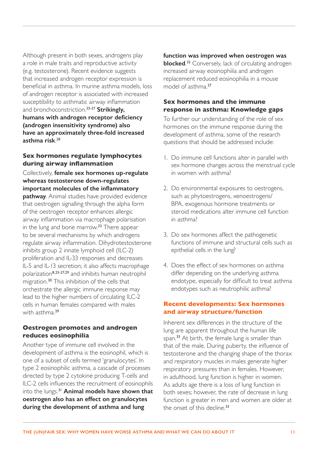<span id="page-11-0"></span>Although present in both sexes, androgens play a role in male traits and reproductive activity (e.g. testosterone). Recent evidence suggests that increased androgen receptor expression is beneficial in asthma. In murine asthma models, loss of androgen receptor is associated with increased susceptibility to asthmatic airway inflammation and bronchoconstriction.[25](#page-18-12)-[27](#page-19-0) **Strikingly, humans with androgen receptor deficiency (androgen insensitivity syndrome) also have an approximately three-fold increased asthma risk**. [28](#page-19-1)

# **Sex hormones regulate lymphocytes during airway inflammation**

Collectively, **female sex hormones up-regulate whereas testosterone down-regulates important molecules of the inflammatory pathway**. Animal studies have provided evidence that oestrogen signalling through the alpha form of the oestrogen receptor enhances allergic airway inflammation via macrophage polarisation in the lung and bone marrow.<sup>[23](#page-18-10)</sup> There appear to be several mechanisms by which androgens regulate airway inflammation. Dihydrotestosterone inhibits group 2 innate lymphoid cell (ILC-2) proliferation and IL-33 responses and decreases IL-5 and IL-13 secretion; it also affects macrophage polarization[8,](#page-17-7)[25](#page-18-12)-[27](#page-19-0),[29](#page-19-2) and inhibits human neutrophil migration.[30](#page-19-3) This inhibition of the cells that orchestrate the allergic immune response may lead to the higher numbers of circulating ILC-2 cells in human females compared with males with asthma.<sup>[29](#page-19-2)</sup>

# **Oestrogen promotes and androgen reduces eosinophilia**

Another type of immune cell involved in the development of asthma is the eosinophil, which is one of a subset of cells termed 'granulocytes'. In type 2 eosinophilic asthma, a cascade of processes directed by type 2 cytokine producing T-cells and ILC-2 cells influences the recruitment of eosinophils into the lungs.[31](#page-19-4) **Animal models have shown that oestrogen also has an effect on granulocytes during the development of asthma and lung** 

### **function was improved when oestrogen was**

**blocked.**<sup>[32](#page-19-5)</sup> Conversely, lack of circulating androgen increased airway eosinophilia and androgen replacement reduced eosinophilia in a mouse model of asthma<sup>[27](#page-19-0)</sup>

# **Sex hormones and the immune response in asthma: Knowledge gaps**

To further our understanding of the role of sex hormones on the immune response during the development of asthma, some of the research questions that should be addressed include:

- 1. Do immune cell functions alter in parallel with sex hormone changes across the menstrual cycle in women with asthma?
- 2. Do environmental exposures to oestrogens, such as phytoestrogens, xenoestrogens/ BPA, exogenous hormone treatments or steroid medications alter immune cell function in asthma?
- 3. Do sex hormones affect the pathogenetic functions of immune and structural cells such as epithelial cells in the lung?
- 4. Does the effect of sex hormones on asthma differ depending on the underlying asthma endotype, especially for difficult to treat asthma endotypes such as neutrophilic asthma?

#### **Recent developments: Sex hormones and airway structure/function**

Inherent sex differences in the structure of the lung are apparent throughout the human life span.<sup>[33](#page-19-6)</sup> At birth, the female lung is smaller than that of the male. During puberty, the influence of testosterone and the changing shape of the thorax and respiratory muscles in males generate higher respiratory pressures than in females. However, in adulthood, lung function is higher in women. As adults age there is a loss of lung function in both sexes; however, the rate of decrease in lung function is greater in men and women are older at the onset of this decline.<sup>[33](#page-19-6)</sup>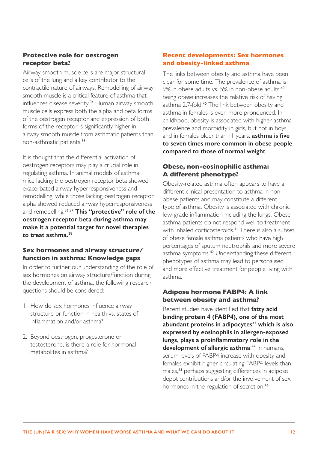# <span id="page-12-0"></span>**Protective role for oestrogen receptor beta?**

Airway smooth muscle cells are major structural cells of the lung and a key contributor to the contractile nature of airways. Remodelling of airway smooth muscle is a critical feature of asthma that influences disease severity.[34](#page-19-7) Human airway smooth muscle cells express both the alpha and beta forms of the oestrogen receptor and expression of both forms of the receptor is significantly higher in airway smooth muscle from asthmatic patients than non-asthmatic patients.[35](#page-19-8)

It is thought that the differential activation of oestrogen receptors may play a crucial role in regulating asthma. In animal models of asthma, mice lacking the oestrogen receptor beta showed exacerbated airway hyperresponsiveness and remodelling, while those lacking oestrogen receptor alpha showed reduced airway hyperresponsiveness and remodelling.[36,](#page-19-9)[37](#page-19-10) **This "protective" role of the oestrogen receptor beta during asthma may make it a potential target for novel therapies to treat asthma.**[28](#page-19-1)

# **Sex hormones and airway structure/ function in asthma: Knowledge gaps**

In order to further our understanding of the role of sex hormones on airway structure/function during the development of asthma, the following research questions should be considered:

- 1. How do sex hormones influence airway structure or function in health vs. states of inflammation and/or asthma?
- 2. Beyond oestrogen, progesterone or testosterone, is there a role for hormonal metabolites in asthma?

# **Recent developments: Sex hormones and obesity-linked asthma**

The links between obesity and asthma have been clear for some time. The prevalence of asthma is 9% in obese adults vs. 5% in non-obese adults:<sup>[40](#page-20-0)</sup> being obese increases the relative risk of having asthma 2.7-fold.<sup>[40](#page-20-0)</sup> The link between obesity and asthma in females is even more pronounced. In childhood, obesity is associated with higher asthma prevalence and morbidity in girls, but not in boys, and in females older than 11 years, **asthma is five to seven times more common in obese people compared to those of normal weight**.

# **Obese, non-eosinophilic asthma: A different phenotype?**

Obesity-related asthma often appears to have a different clinical presentation to asthma in nonobese patients and may constitute a different type of asthma. Obesity is associated with chronic low-grade inflammation including the lungs. Obese asthma patients do not respond well to treatment with inhaled corticosteroids.<sup>[41](#page-20-1)</sup> There is also a subset of obese female asthma patients who have high percentages of sputum neutrophils and more severe asthma symptoms.<sup>[42](#page-20-2)</sup> Understanding these different phenotypes of asthma may lead to personalised and more effective treatment for people living with asthma.

#### **Adipose hormone FABP4: A link between obesity and asthma?**

Recent studies have identified that **fatty acid binding protein 4 (FABP4), one of the most abundant proteins in adipocytes**[43](#page-20-3) **which is also expressed by eosinophils in allergen-exposed lungs, plays a proinflammatory role in the development of allergic asthma**. [44](#page-20-4) In humans, serum levels of FABP4 increase with obesity and females exhibit higher circulating FABP4 levels than males,[45](#page-20-5) perhaps suggesting differences in adipose depot contributions and/or the involvement of sex hormones in the regulation of secretion.<sup>[46](#page-20-6)</sup>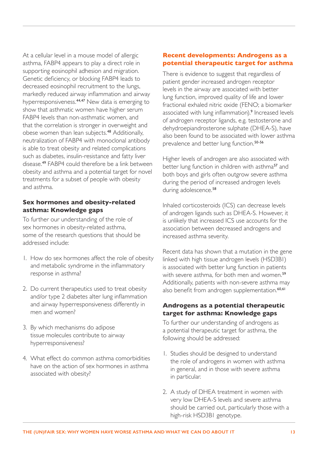<span id="page-13-0"></span>At a cellular level in a mouse model of allergic asthma, FABP4 appears to play a direct role in supporting eosinophil adhesion and migration. Genetic deficiency, or blocking FABP4 leads to decreased eosinophil recruitment to the lungs, markedly reduced airway inflammation and airway hyperresponsiveness.[44,](#page-20-4)[47](#page-20-7) New data is emerging to show that asthmatic women have higher serum FABP4 levels than non-asthmatic women, and that the correlation is stronger in overweight and obese women than lean subjects.[48](#page-20-8) Additionally, neutralization of FABP4 with monoclonal antibody is able to treat obesity and related complications such as diabetes, insulin-resistance and fatty liver disease.[49](#page-20-9) FABP4 could therefore be a link between obesity and asthma and a potential target for novel treatments for a subset of people with obesity and asthma.

### **Sex hormones and obesity-related asthma: Knowledge gaps**

To further our understanding of the role of sex hormones in obesity-related asthma, some of the research questions that should be addressed include:

- 1. How do sex hormones affect the role of obesity and metabolic syndrome in the inflammatory response in asthma?
- 2. Do current therapeutics used to treat obesity and/or type 2 diabetes alter lung inflammation and airway hyperresponsiveness differently in men and women?
- 3. By which mechanisms do adipose tissue molecules contribute to airway hyperresponsiveness?
- 4. What effect do common asthma comorbidities have on the action of sex hormones in asthma associated with obesity?

# **Recent developments: Androgens as a potential therapeutic target for asthma**

There is evidence to suggest that regardless of patient gender increased androgen receptor levels in the airway are associated with better lung function, improved quality of life and lower fractional exhaled nitric oxide (FENO; a biomarker associated with lung inflammation).<sup>[9](#page-17-8)</sup> Increased levels of androgen receptor ligands, e.g. testosterone and dehydroepiandrosterone sulphate (DHEA-S), have also been found to be associated with lower asthma prevalence and better lung function.<sup>[50](#page-21-0)[-56](#page-21-1)</sup>

Higher levels of androgen are also associated with better lung function in children with asthma<sup>[57](#page-21-2)</sup> and both boys and girls often outgrow severe asthma during the period of increased androgen levels during adolescence.<sup>[58](#page-21-3)</sup>

Inhaled corticosteroids (ICS) can decrease levels of androgen ligands such as DHEA-S. However, it is unlikely that increased ICS use accounts for the association between decreased androgens and increased asthma severity.

Recent data has shown that a mutation in the gene linked with high tissue androgen levels (HSD3B1) is associated with better lung function in patients with severe asthma, for both men and women.<sup>[59](#page-21-4)</sup> Additionally, patients with non-severe asthma may also benefit from androgen supplementation.<sup>[60](#page-21-5),[61](#page-22-0)</sup>

#### **Androgens as a potential therapeutic target for asthma: Knowledge gaps**

To further our understanding of androgens as a potential therapeutic target for asthma, the following should be addressed:

- 1. Studies should be designed to understand the role of androgens in women with asthma in general, and in those with severe asthma in particular.
- 2. A study of DHEA treatment in women with very low DHEA-S levels and severe asthma should be carried out, particularly those with a high-risk HSD3B1 genotype.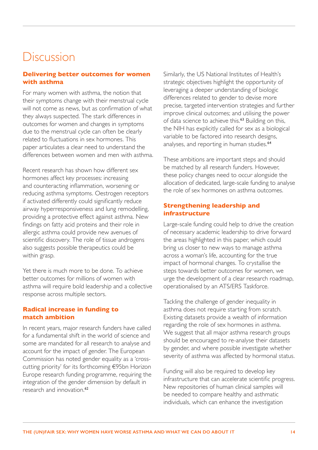# <span id="page-14-0"></span>**Discussion**

#### **Delivering better outcomes for women with asthma**

For many women with asthma, the notion that their symptoms change with their menstrual cycle will not come as news, but as confirmation of what they always suspected. The stark differences in outcomes for women and changes in symptoms due to the menstrual cycle can often be clearly related to fluctuations in sex hormones. This paper articulates a clear need to understand the differences between women and men with asthma.

Recent research has shown how different sex hormones affect key processes: increasing and counteracting inflammation, worsening or reducing asthma symptoms. Oestrogen receptors if activated differently could significantly reduce airway hyperresponsiveness and lung remodelling, providing a protective effect against asthma. New findings on fatty acid proteins and their role in allergic asthma could provide new avenues of scientific discovery. The role of tissue androgens also suggests possible therapeutics could be within grasp.

Yet there is much more to be done. To achieve better outcomes for millions of women with asthma will require bold leadership and a collective response across multiple sectors.

#### **Radical increase in funding to match ambition**

In recent years, major research funders have called for a fundamental shift in the world of science and some are mandated for all research to analyse and account for the impact of gender. The European Commission has noted gender equality as a 'crosscutting priority' for its forthcoming €95bn Horizon Europe research funding programme, requiring the integration of the gender dimension by default in research and innovation <sup>[62](#page-22-1)</sup>

Similarly, the US National Institutes of Health's strategic objectives highlight the opportunity of leveraging a deeper understanding of biologic differences related to gender to devise more precise, targeted intervention strategies and further improve clinical outcomes; and utilising the power of data science to achieve this.<sup>[63](#page-22-2)</sup> Building on this, the NIH has explicitly called for sex as a biological variable to be factored into research designs, analyses, and reporting in human studies.<sup>[64](#page-22-3)</sup>

These ambitions are important steps and should be matched by all research funders. However, these policy changes need to occur alongside the allocation of dedicated, large-scale funding to analyse the role of sex hormones on asthma outcomes.

#### **Strengthening leadership and infrastructure**

Large-scale funding could help to drive the creation of necessary academic leadership to drive forward the areas highlighted in this paper, which could bring us closer to new ways to manage asthma across a woman's life, accounting for the true impact of hormonal changes. To crystallise the steps towards better outcomes for women, we urge the development of a clear research roadmap, operationalised by an ATS/ERS Taskforce.

Tackling the challenge of gender inequality in asthma does not require starting from scratch. Existing datasets provide a wealth of information regarding the role of sex hormones in asthma. We suggest that all major asthma research groups should be encouraged to re-analyse their datasets by gender, and where possible investigate whether severity of asthma was affected by hormonal status.

Funding will also be required to develop key infrastructure that can accelerate scientific progress. New repositories of human clinical samples will be needed to compare healthy and asthmatic individuals, which can enhance the investigation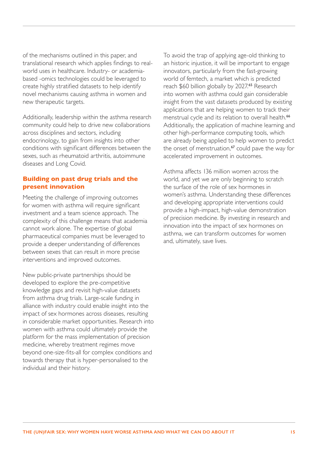<span id="page-15-0"></span>of the mechanisms outlined in this paper, and translational research which applies findings to realworld uses in healthcare. Industry- or academiabased -omics technologies could be leveraged to create highly stratified datasets to help identify novel mechanisms causing asthma in women and new therapeutic targets.

Additionally, leadership within the asthma research community could help to drive new collaborations across disciplines and sectors, including endocrinology, to gain from insights into other conditions with significant differences between the sexes, such as rheumatoid arthritis, autoimmune diseases and Long Covid.

#### **Building on past drug trials and the present innovation**

Meeting the challenge of improving outcomes for women with asthma will require significant investment and a team science approach. The complexity of this challenge means that academia cannot work alone. The expertise of global pharmaceutical companies must be leveraged to provide a deeper understanding of differences between sexes that can result in more precise interventions and improved outcomes.

New public-private partnerships should be developed to explore the pre-competitive knowledge gaps and revisit high-value datasets from asthma drug trials. Large-scale funding in alliance with industry could enable insight into the impact of sex hormones across diseases, resulting in considerable market opportunities. Research into women with asthma could ultimately provide the platform for the mass implementation of precision medicine, whereby treatment regimes move beyond one-size-fits-all for complex conditions and towards therapy that is hyper-personalised to the individual and their history.

To avoid the trap of applying age-old thinking to an historic injustice, it will be important to engage innovators, particularly from the fast-growing world of femtech, a market which is predicted reach \$60 billion globally by 2027.[65](#page-22-4) Research into women with asthma could gain considerable insight from the vast datasets produced by existing applications that are helping women to track their menstrual cycle and its relation to overall health.<sup>[66](#page-22-5)</sup> Additionally, the application of machine learning and other high-performance computing tools, which are already being applied to help women to predict the onset of menstruation,<sup>[67](#page-22-6)</sup> could pave the way for accelerated improvement in outcomes.

Asthma affects 136 million women across the world, and yet we are only beginning to scratch the surface of the role of sex hormones in women's asthma. Understanding these differences and developing appropriate interventions could provide a high-impact, high-value demonstration of precision medicine. By investing in research and innovation into the impact of sex hormones on asthma, we can transform outcomes for women and, ultimately, save lives.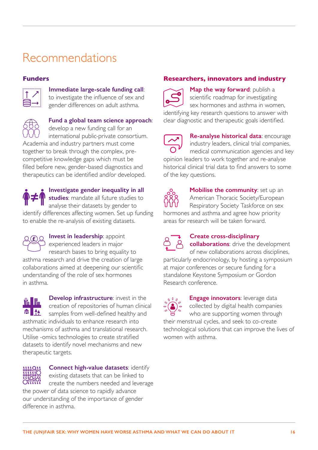# <span id="page-16-0"></span>Recommendations

# **Funders**



### **Immediate large-scale funding call**:

to investigate the influence of sex and gender differences on adult asthma.



#### **Fund a global team science approach**: develop a new funding call for an

international public-private consortium. Academia and industry partners must come

together to break through the complex, precompetitive knowledge gaps which must be filled before new, gender-based diagnostics and therapeutics can be identified and/or developed.

**Investigate gender inequality in all studies**: mandate all future studies to analyse their datasets by gender to identify differences affecting women. Set up funding to enable the re-analysis of existing datasets.

**Invest in leadership:** appoint experienced leaders in major research bases to bring equality to asthma research and drive the creation of large collaborations aimed at deepening our scientific understanding of the role of sex hormones in asthma.

**Develop infrastructure:** invest in the  $\frac{6}{10}$  III creation of repositories of human clinical 侖 samples from well-defined healthy and asthmatic individuals to enhance research into mechanisms of asthma and translational research. Utilise -omics technologies to create stratified datasets to identify novel mechanisms and new therapeutic targets.



**Connect high-value datasets**: identify existing datasets that can be linked to create the numbers needed and leverage

the power of data science to rapidly advance our understanding of the importance of gender difference in asthma.

# **Researchers, innovators and industry**



**Map the way forward**: publish a scientific roadmap for investigating sex hormones and asthma in women, identifying key research questions to answer with clear diagnostic and therapeutic goals identified.

**Re-analyse historical data**: encourage industry leaders, clinical trial companies, medical communication agencies and key opinion leaders to work together and re-analyse historical clinical trial data to find answers to some of the key questions.



**Mobilise the community: set up an** American Thoracic Society/European Respiratory Society Taskforce on sex hormones and asthma and agree how priority areas for research will be taken forward.



# **Create cross-disciplinary**

**collaborations**: drive the development of new collaborations across disciplines, particularly endocrinology, by hosting a symposium at major conferences or secure funding for a standalone Keystone Symposium or Gordon Research conference.

 $\frac{0.00}{0.00}$ 

**Engage innovators**: leverage data collected by digital health companies who are supporting women through their menstrual cycles, and seek to co-create

technological solutions that can improve the lives of women with asthma.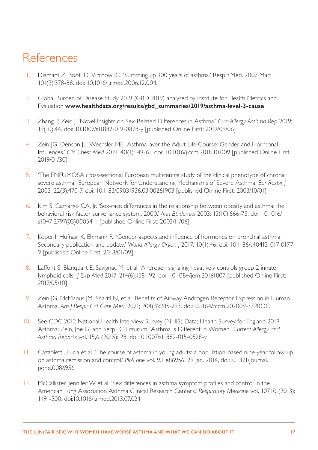# <span id="page-17-0"></span>References

- <span id="page-17-1"></span>1. Diamant Z, Boot JD, Virchow JC. 'Summing up 100 years of asthma.' Respir Med. 2007 Mar; 101(3):378-88. doi: 10.1016/j.rmed.2006.12.004.
- <span id="page-17-2"></span>2. Global Burden of Disease Study 2019 (GBD 2019) analysed by Institute for Health Metrics and Evaluation **[www.healthdata.org/results/gbd\\_summaries/2019/asthma-level-3-cause](http://www.healthdata.org/results/gbd_summaries/2019/asthma-level-3-cause)**
- <span id="page-17-3"></span>3. Zhang P, Zein J. 'Novel Insights on Sex-Related Differences in Asthma.' *Curr Allergy Asthma Rep* 2019; 19(10):44. doi: 10.1007/s11882-019-0878-y [published Online First: 2019/09/06]
- 4. Zein JG, Denson JL, Wechsler ME. 'Asthma over the Adult Life Course: Gender and Hormonal Influences.' *Clin Chest Med* 2019; 40(1):149-61. doi: 10.1016/j.ccm.2018.10.009 [published Online First: 2019/01/30]
- <span id="page-17-4"></span>5. 'The ENFUMOSA cross-sectional European multicentre study of the clinical phenotype of chronic severe asthma.' European Network for Understanding Mechanisms of Severe Asthma. *Eur Respir J* 2003; 22(3):470-7. doi: 10.1183/09031936.03.00261903 [published Online First: 2003/10/01]
- <span id="page-17-5"></span>6. Kim S, Camargo CA, Jr. 'Sex-race differences in the relationship between obesity and asthma: the behavioral risk factor surveillance system, 2000.' *Ann Epidemiol* 2003; 13(10):666-73. doi: 10.1016/ s1047-2797(03)00054-1 [published Online First: 2003/11/06]
- <span id="page-17-6"></span>7. Koper I, Hufnagl K, Ehmann R. 'Gender aspects and influence of hormones on bronchial asthma – Secondary publication and update.' *World Allergy Organ J* 2017; 10(1):46. doi: 10.1186/s40413-017-0177- 9 [published Online First: 2018/01/09]
- <span id="page-17-7"></span>8. Laffont S, Blanquart E, Savignac M, et al. 'Androgen signaling negatively controls group 2 innate lymphoid cells.' *J Exp Med* 2017; 214(6):1581-92. doi: 10.1084/jem.20161807 [published Online First: 2017/05/10]
- <span id="page-17-8"></span>9. Zein JG, McManus JM, Sharifi N, et al. Benefits of Airway Androgen Receptor Expression in Human Asthma. *Am J Respir Crit Care Med*. 2021; 204(3):285-293. doi:10.1164/rccm.202009-3720OC
- <span id="page-17-9"></span>10. See [CDC 2012 National Health Interview Survey \(NHIS\) Data; Health Survey for England 2018](https://eur02.safelinks.protection.outlook.com/?url=https%3A%2F%2Fwww.cdc.gov%2Fasthma%2Fnhis%2F2012%2Fdata.htm&data=04%7C01%7Ckpoinasamy%40auk-blf.org.uk%7Cd5b522ff29bb459a7e4d08d8ddbeeb75%7C896c0d075ac74eaab47814e2ef4d348d%7C0%7C0%7C637503159363598036%7CUnknown%7CTWFpbGZsb3d8eyJWIjoiMC4wLjAwMDAiLCJQIjoiV2luMzIiLCJBTiI6Ik1haWwiLCJXVCI6Mn0%3D%7C1000&sdata=h8uPacA55pbIgGudhWsxPovBtPlVb%2BjvXubldoy70q0%3D&reserved=0)  [Asthma](https://eur02.safelinks.protection.outlook.com/?url=https%3A%2F%2Fwww.cdc.gov%2Fasthma%2Fnhis%2F2012%2Fdata.htm&data=04%7C01%7Ckpoinasamy%40auk-blf.org.uk%7Cd5b522ff29bb459a7e4d08d8ddbeeb75%7C896c0d075ac74eaab47814e2ef4d348d%7C0%7C0%7C637503159363598036%7CUnknown%7CTWFpbGZsb3d8eyJWIjoiMC4wLjAwMDAiLCJQIjoiV2luMzIiLCJBTiI6Ik1haWwiLCJXVCI6Mn0%3D%7C1000&sdata=h8uPacA55pbIgGudhWsxPovBtPlVb%2BjvXubldoy70q0%3D&reserved=0); Zein, Joe G, and Serpil C Erzurum. 'Asthma is Different in Women.' *Current Allergy and Asthma Reports* vol. 15,6 (2015): 28. doi:10.1007/s11882-015-0528-y
- <span id="page-17-10"></span>11. Cazzoletti, Lucia et al. 'The course of asthma in young adults: a population-based nine-year follow-up on asthma remission and control.' *PloS one* vol. 9,1 e86956. 29 Jan. 2014, doi:10.1371/journal. pone.0086956
- <span id="page-17-11"></span>12. McCallister, Jennifer W et al. 'Sex differences in asthma symptom profiles and control in the American Lung Association Asthma Clinical Research Centers.' *Respiratory Medicine* vol. 107,10 (2013): 1491-500. doi:10.1016/j.rmed.2013.07.024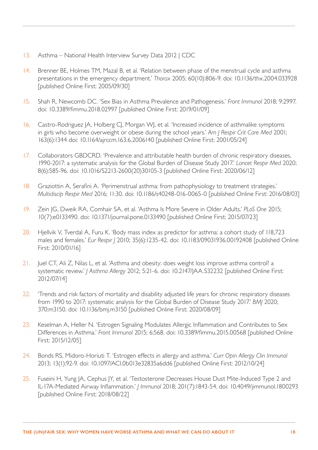- <span id="page-18-0"></span>13. Asthma – National Health Interview Survey Data 2012 | CDC
- <span id="page-18-1"></span>14. Brenner BE, Holmes TM, Mazal B, et al. 'Relation between phase of the menstrual cycle and asthma presentations in the emergency department.' *Thorax* 2005; 60(10):806-9. doi: 10.1136/thx.2004.033928 [published Online First: 2005/09/30]
- <span id="page-18-2"></span>15. Shah R, Newcomb DC. 'Sex Bias in Asthma Prevalence and Pathogenesis.' *Front Immunol* 2018; 9:2997. doi: 10.3389/fimmu.2018.02997 [published Online First: 2019/01/09]
- <span id="page-18-3"></span>16. Castro-Rodriguez JA, Holberg CJ, Morgan WJ, et al. 'Increased incidence of asthmalike symptoms in girls who become overweight or obese during the school years.' *Am J Respir Crit Care Med* 2001; 163(6):1344 doi: 10.1164/ajrccm.163.6.2006140 [published Online First: 2001/05/24]
- <span id="page-18-4"></span>17. Collaborators GBDCRD. 'Prevalence and attributable health burden of chronic respiratory diseases, 1990-2017: a systematic analysis for the Global Burden of Disease Study 2017.' *Lancet Respir Med* 2020; 8(6):585-96. doi: 10.1016/S2213-2600(20)30105-3 [published Online First: 2020/06/12]
- <span id="page-18-5"></span>18. Graziottin A, Serafini A. 'Perimenstrual asthma: from pathophysiology to treatment strategies.' *Multidiscip Respir Med* 2016; 11:30. doi: 10.1186/s40248-016-0065-0 [published Online First: 2016/08/03]
- <span id="page-18-6"></span>19. Zein JG, Dweik RA, Comhair SA, et al. 'Asthma Is More Severe in Older Adults.' *PLoS One* 2015; 10(7):e0133490. doi: 10.1371/journal.pone.0133490 [published Online First: 2015/07/23]
- <span id="page-18-7"></span>20. Hjellvik V, Tverdal A, Furu K. 'Body mass index as predictor for asthma: a cohort study of 118,723 males and females.' *Eur Respir J* 2010; 35(6):1235-42. doi: 10.1183/09031936.00192408 [published Online First: 2010/01/16]
- <span id="page-18-8"></span>21. Juel CT, Ali Z, Nilas L, et al. 'Asthma and obesity: does weight loss improve asthma control? a systematic review.' *J Asthma Allergy* 2012; 5:21-6. doi: 10.2147/JAA.S32232 [published Online First: 2012/07/14]
- <span id="page-18-9"></span>22. 'Trends and risk factors of mortality and disability adjusted life years for chronic respiratory diseases from 1990 to 2017: systematic analysis for the Global Burden of Disease Study 2017.' *BMJ* 2020; 370:m3150. doi: 10.1136/bmj.m3150 [published Online First: 2020/08/09]
- <span id="page-18-10"></span>23. Keselman A, Heller N. 'Estrogen Signaling Modulates Allergic Inflammation and Contributes to Sex Differences in Asthma.' *Front Immunol* 2015; 6:568. doi: 10.3389/fimmu.2015.00568 [published Online First: 2015/12/05]
- <span id="page-18-11"></span>24. Bonds RS, Midoro-Horiuti T. 'Estrogen effects in allergy and asthma.' *Curr Opin Allergy Clin Immunol* 2013; 13(1):92-9. doi: 10.1097/ACI.0b013e32835a6dd6 [published Online First: 2012/10/24]
- <span id="page-18-12"></span>25. Fuseini H, Yung JA, Cephus JY, et al. 'Testosterone Decreases House Dust Mite-Induced Type 2 and IL-17A-Mediated Airway Inflammation.' *J Immunol* 2018; 201(7):1843-54. doi: 10.4049/jimmunol.1800293 [published Online First: 2018/08/22]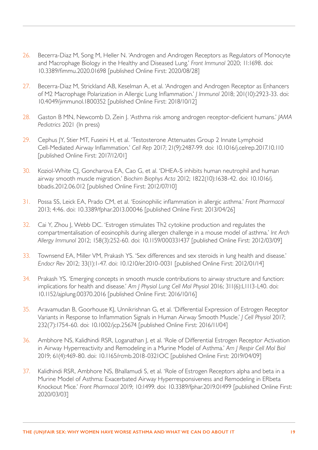- 26. Becerra-Diaz M, Song M, Heller N. 'Androgen and Androgen Receptors as Regulators of Monocyte and Macrophage Biology in the Healthy and Diseased Lung.' *Front Immunol* 2020; 11:1698. doi: 10.3389/fimmu.2020.01698 [published Online First: 2020/08/28]
- <span id="page-19-0"></span>27. Becerra-Diaz M, Strickland AB, Keselman A, et al. 'Androgen and Androgen Receptor as Enhancers of M2 Macrophage Polarization in Allergic Lung Inflammation.' *J Immunol* 2018; 201(10):2923-33. doi: 10.4049/jimmunol.1800352 [published Online First: 2018/10/12]
- <span id="page-19-1"></span>28. Gaston B MN, Newcomb D, Zein J. 'Asthma risk among androgen receptor-deficient humans.' *JAMA Pediatrics* 2021 (In press)
- <span id="page-19-2"></span>29. Cephus JY, Stier MT, Fuseini H, et al. 'Testosterone Attenuates Group 2 Innate Lymphoid Cell-Mediated Airway Inflammation.' *Cell Rep* 2017; 21(9):2487-99. doi: 10.1016/j.celrep.2017.10.110 [published Online First: 2017/12/01]
- <span id="page-19-3"></span>30. Koziol-White CJ, Goncharova EA, Cao G, et al. 'DHEA-S inhibits human neutrophil and human airway smooth muscle migration.' *Biochim Biophys Acta* 2012; 1822(10):1638-42. doi: 10.1016/j. bbadis.2012.06.012 [published Online First: 2012/07/10]
- <span id="page-19-4"></span>31. Possa SS, Leick EA, Prado CM, et al. 'Eosinophilic inflammation in allergic asthma.' *Front Pharmacol* 2013; 4:46. doi: 10.3389/fphar.2013.00046 [published Online First: 2013/04/26]
- <span id="page-19-5"></span>32. Cai Y, Zhou J, Webb DC. 'Estrogen stimulates Th2 cytokine production and regulates the compartmentalisation of eosinophils during allergen challenge in a mouse model of asthma.' *Int Arch Allergy Immunol* 2012; 158(3):252-60. doi: 10.1159/000331437 [published Online First: 2012/03/09]
- <span id="page-19-6"></span>33. Townsend EA, Miller VM, Prakash YS. 'Sex differences and sex steroids in lung health and disease.' *Endocr Rev* 2012; 33(1):1-47. doi: 10.1210/er.2010-0031 [published Online First: 2012/01/14]
- <span id="page-19-7"></span>34. Prakash YS. 'Emerging concepts in smooth muscle contributions to airway structure and function: implications for health and disease.' *Am J Physiol Lung Cell Mol Physiol* 2016; 311(6):L1113-L40. doi: 10.1152/ajplung.00370.2016 [published Online First: 2016/10/16]
- <span id="page-19-8"></span>35. Aravamudan B, Goorhouse KJ, Unnikrishnan G, et al. 'Differential Expression of Estrogen Receptor Variants in Response to Inflammation Signals in Human Airway Smooth Muscle.' *J Cell Physiol* 2017; 232(7):1754-60. doi: 10.1002/jcp.25674 [published Online First: 2016/11/04]
- <span id="page-19-9"></span>36. Ambhore NS, Kalidhindi RSR, Loganathan J, et al. 'Role of Differential Estrogen Receptor Activation in Airway Hyperreactivity and Remodeling in a Murine Model of Asthma.' *Am J Respir Cell Mol Biol* 2019; 61(4):469-80. doi: 10.1165/rcmb.2018-0321OC [published Online First: 2019/04/09]
- <span id="page-19-10"></span>37. Kalidhindi RSR, Ambhore NS, Bhallamudi S, et al. 'Role of Estrogen Receptors alpha and beta in a Murine Model of Asthma: Exacerbated Airway Hyperresponsiveness and Remodeling in ERbeta Knockout Mice.' *Front Pharmacol* 2019; 10:1499. doi: 10.3389/fphar.2019.01499 [published Online First: 2020/03/03]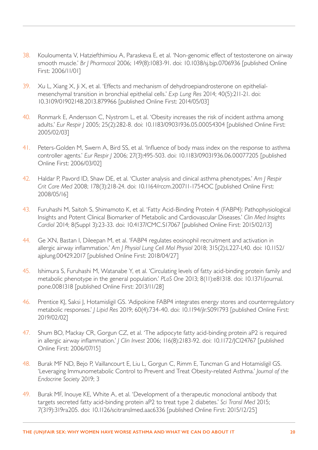- 38. Kouloumenta V, Hatziefthimiou A, Paraskeva E, et al. 'Non-genomic effect of testosterone on airway smooth muscle.' *Br J Pharmacol* 2006; 149(8):1083-91. doi: 10.1038/sj.bjp.0706936 [published Online First: 2006/11/01]
- 39. Xu L, Xiang X, |i X, et al. 'Effects and mechanism of dehydroepiandrosterone on epithelialmesenchymal transition in bronchial epithelial cells.' *Exp Lung Res* 2014; 40(5):211-21. doi: 10.3109/01902148.2013.879966 [published Online First: 2014/05/03]
- <span id="page-20-0"></span>40. Ronmark E, Andersson C, Nystrom L, et al. 'Obesity increases the risk of incident asthma among adults.' *Eur Respir J* 2005; 25(2):282-8. doi: 10.1183/09031936.05.00054304 [published Online First: 2005/02/03]
- <span id="page-20-1"></span>41. Peters-Golden M, Swern A, Bird SS, et al. 'Influence of body mass index on the response to asthma controller agents.' *Eur Respir J* 2006; 27(3):495-503. doi: 10.1183/09031936.06.00077205 [published Online First: 2006/03/02]
- <span id="page-20-2"></span>42. Haldar P, Pavord ID, Shaw DE, et al. 'Cluster analysis and clinical asthma phenotypes.' *Am J Respir Crit Care Med* 2008; 178(3):218-24. doi: 10.1164/rccm.200711-1754OC [published Online First: 2008/05/16]
- <span id="page-20-3"></span>43. Furuhashi M, Saitoh S, Shimamoto K, et al. 'Fatty Acid-Binding Protein 4 (FABP4): Pathophysiological Insights and Potent Clinical Biomarker of Metabolic and Cardiovascular Diseases.' *Clin Med Insights Cardiol* 2014; 8(Suppl 3):23-33. doi: 10.4137/CMC.S17067 [published Online First: 2015/02/13]
- <span id="page-20-4"></span>44. Ge XN, Bastan I, Dileepan M, et al. 'FABP4 regulates eosinophil recruitment and activation in allergic airway inflammation.' *Am J Physiol Lung Cell Mol Physiol* 2018; 315(2):L227-L40. doi: 10.1152/ ajplung.00429.2017 [published Online First: 2018/04/27]
- <span id="page-20-5"></span>45. Ishimura S, Furuhashi M, Watanabe Y, et al. 'Circulating levels of fatty acid-binding protein family and metabolic phenotype in the general population.' *PLoS One* 2013; 8(11):e81318. doi: 10.1371/journal. pone.0081318 [published Online First: 2013/11/28]
- <span id="page-20-6"></span>46. Prentice KJ, Saksi J, Hotamisligil GS. 'Adipokine FABP4 integrates energy stores and counterregulatory metabolic responses.' *J Lipid Res* 2019; 60(4):734-40. doi: 10.1194/jlr.S091793 [published Online First: 2019/02/02]
- <span id="page-20-7"></span>47. Shum BO, Mackay CR, Gorgun CZ, et al. 'The adipocyte fatty acid-binding protein aP2 is required in allergic airway inflammation.' *J Clin Invest* 2006; 116(8):2183-92. doi: 10.1172/JCI24767 [published Online First: 2006/07/15]
- <span id="page-20-8"></span>48. Burak MF ND, Bejo P, Vaillancourt E, Liu L, Gorgun C, Rimm E, Tuncman G and Hotamisligil GS. 'Leveraging Immunometabolic Control to Prevent and Treat Obesity-related Asthma.' *Journal of the Endocrine Society* 2019; 3
- <span id="page-20-9"></span>49. Burak MF, Inouye KE, White A, et al. 'Development of a therapeutic monoclonal antibody that targets secreted fatty acid-binding protein aP2 to treat type 2 diabetes.' *Sci Transl Med* 2015; 7(319):319ra205. doi: 10.1126/scitranslmed.aac6336 [published Online First: 2015/12/25]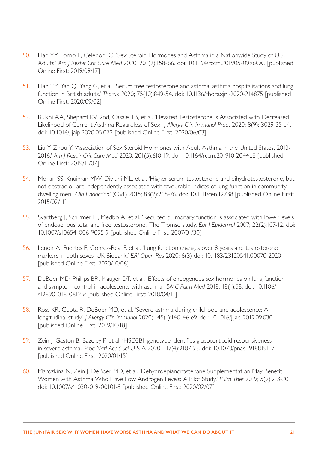- <span id="page-21-0"></span>50. Han YY, Forno E, Celedon JC. 'Sex Steroid Hormones and Asthma in a Nationwide Study of U.S. Adults.' *Am J Respir Crit Care Med* 2020; 201(2):158-66. doi: 10.1164/rccm.201905-0996OC [published Online First: 2019/09/17]
- 51. Han YY, Yan Q, Yang G, et al. 'Serum free testosterone and asthma, asthma hospitalisations and lung function in British adults.' *Thorax* 2020; 75(10):849-54. doi: 10.1136/thoraxjnl-2020-214875 [published Online First: 2020/09/02]
- 52. Bulkhi AA, Shepard KV, 2nd, Casale TB, et al. 'Elevated Testosterone Is Associated with Decreased Likelihood of Current Asthma Regardless of Sex.' *J Allergy Clin Immunol Prac*t 2020; 8(9): 3029-35 e4. doi: 10.1016/j.jaip.2020.05.022 [published Online First: 2020/06/03]
- 53. Liu Y, Zhou Y. 'Association of Sex Steroid Hormones with Adult Asthma in the United States, 2013- 2016.' *Am J Respir Crit Care Med* 2020; 201(5):618-19. doi: 10.1164/rccm.201910-2044LE [published Online First: 2019/11/07]
- 54. Mohan SS, Knuiman MW, Divitini ML, et al. 'Higher serum testosterone and dihydrotestosterone, but not oestradiol, are independently associated with favourable indices of lung function in communitydwelling men.' *Clin Endocrinol* (Oxf) 2015; 83(2):268-76. doi: 10.1111/cen.12738 [published Online First: 2015/02/11]
- 55. Svartberg J, Schirmer H, Medbo A, et al. 'Reduced pulmonary function is associated with lower levels of endogenous total and free testosterone.' The Tromso study. *Eur J Epidemiol* 2007; 22(2):107-12. doi: 10.1007/s10654-006-9095-9 [published Online First: 2007/01/30]
- <span id="page-21-1"></span>56. Lenoir A, Fuertes E, Gomez-Real F, et al. 'Lung function changes over 8 years and testosterone markers in both sexes: UK Biobank.' *ERJ Open Res* 2020; 6(3) doi: 10.1183/23120541.00070-2020 [published Online First: 2020/10/06]
- <span id="page-21-2"></span>57. DeBoer MD, Phillips BR, Mauger DT, et al. 'Effects of endogenous sex hormones on lung function and symptom control in adolescents with asthma.' *BMC Pulm Med* 2018; 18(1):58. doi: 10.1186/ s12890-018-0612-x [published Online First: 2018/04/11]
- <span id="page-21-3"></span>58. Ross KR, Gupta R, DeBoer MD, et al. 'Severe asthma during childhood and adolescence: A longitudinal study.' *J Allergy Clin Immunol* 2020; 145(1):140-46 e9. doi: 10.1016/j.jaci.2019.09.030 [published Online First: 2019/10/18]
- <span id="page-21-4"></span>59. Zein J, Gaston B, Bazeley P, et al. 'HSD3B1 genotype identifies glucocorticoid responsiveness in severe asthma.' *Proc Natl Acad Sci* U S A 2020; 117(4):2187-93. doi: 10.1073/pnas.1918819117 [published Online First: 2020/01/15]
- <span id="page-21-5"></span>60. Marozkina N, Zein J, DeBoer MD, et al. 'Dehydroepiandrosterone Supplementation May Benefit Women with Asthma Who Have Low Androgen Levels: A Pilot Study.' *Pulm Ther* 2019; 5(2):213-20. doi: 10.1007/s41030-019-00101-9 [published Online First: 2020/02/07]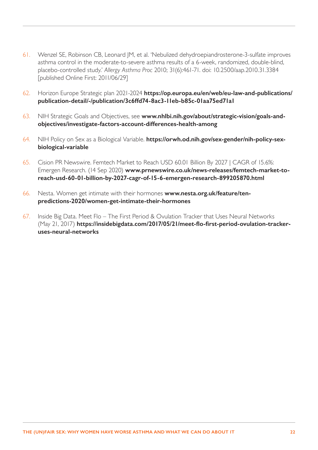- <span id="page-22-0"></span>61. Wenzel SE, Robinson CB, Leonard JM, et al. 'Nebulized dehydroepiandrosterone-3-sulfate improves asthma control in the moderate-to-severe asthma results of a 6-week, randomized, double-blind, placebo-controlled study.' *Allergy Asthma Proc* 2010; 31(6):461-71. doi: 10.2500/aap.2010.31.3384 [published Online First: 2011/06/29]
- <span id="page-22-1"></span>62. Horizon Europe Strategic plan 2021-2024 **[https://op.europa.eu/en/web/eu-law-and-publications/](https://op.europa.eu/en/web/eu-law-and-publications/publication-detail/-/publication/3c6ffd74-8ac3-11eb-b85c-01aa75ed71a1) [publication-detail/-/publication/3c6ffd74-8ac3-11eb-b85c-01aa75ed71a1](https://op.europa.eu/en/web/eu-law-and-publications/publication-detail/-/publication/3c6ffd74-8ac3-11eb-b85c-01aa75ed71a1)**
- <span id="page-22-2"></span>63. NIH Strategic Goals and Objectives, see **[www.nhlbi.nih.gov/about/strategic-vision/goals-and](http://www.nhlbi.nih.gov/about/strategic-vision/goals-and-objectives/investigate-factors-account-differences-health-among)[objectives/investigate-factors-account-differences-health-among](http://www.nhlbi.nih.gov/about/strategic-vision/goals-and-objectives/investigate-factors-account-differences-health-among)**
- <span id="page-22-3"></span>64. NIH Policy on Sex as a Biological Variable. **[https://orwh.od.nih.gov/sex-gender/nih-policy-sex](https://orwh.od.nih.gov/sex-gender/nih-policy-sex-biological-variable)[biological-variable](https://orwh.od.nih.gov/sex-gender/nih-policy-sex-biological-variable)**
- <span id="page-22-4"></span>65. Cision PR Newswire. Femtech Market to Reach USD 60.01 Billion By 2027 | CAGR of 15.6%: Emergen Research. (14 Sep 2020) **[www.prnewswire.co.uk/news-releases/femtech-market-to](https://www.prnewswire.co.uk/news-releases/femtech-market-to-reach-usd-60-01-billion-by-2027-cagr-of-15-6-emergen-research-899205870.html#:~:text=14%2C%202020%20%2FPRNewswire%2F%20%2D%2D,among%20the%20world’s%20female%20population)[reach-usd-60-01-billion-by-2027-cagr-of-15-6-emergen-research-899205870.html](https://www.prnewswire.co.uk/news-releases/femtech-market-to-reach-usd-60-01-billion-by-2027-cagr-of-15-6-emergen-research-899205870.html#:~:text=14%2C%202020%20%2FPRNewswire%2F%20%2D%2D,among%20the%20world’s%20female%20population)**
- <span id="page-22-5"></span>66. Nesta. Women get intimate with their hormones **[www.nesta.org.uk/feature/ten](http://www.nesta.org.uk/feature/ten-predictions-2020/women-get-intimate-their-hormones)[predictions-2020/women-get-intimate-their-hormones](http://www.nesta.org.uk/feature/ten-predictions-2020/women-get-intimate-their-hormones)**
- <span id="page-22-6"></span>67. Inside Big Data. Meet Flo – The First Period & Ovulation Tracker that Uses Neural Networks (May 21, 2017) **[https://insidebigdata.com/2017/05/21/meet-flo-first-period-ovulation-tracker](https://insidebigdata.com/2017/05/21/meet-flo-first-period-ovulation-tracker-uses-neural-networks)[uses-neural-networks](https://insidebigdata.com/2017/05/21/meet-flo-first-period-ovulation-tracker-uses-neural-networks)**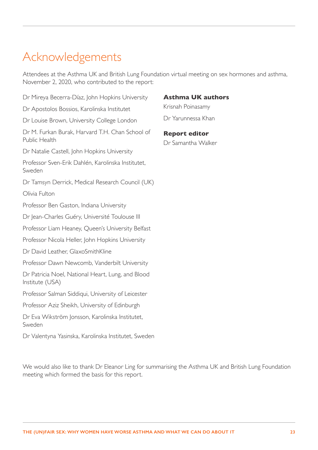# <span id="page-23-0"></span>Acknowledgements

Attendees at the Asthma UK and British Lung Foundation virtual meeting on sex hormones and asthma, November 2, 2020, who contributed to the report:

Dr Mireya Becerra-Díaz, John Hopkins University Dr Apostolos Bossios, Karolinska Institutet Dr Louise Brown, University College London Dr M. Furkan Burak, Harvard T.H. Chan School of Public Health Dr Natalie Castell, John Hopkins University Professor Sven-Erik Dahlén, Karolinska Institutet, Sweden Dr Tamsyn Derrick, Medical Research Council (UK) Olivia Fulton Professor Ben Gaston, Indiana University Dr Jean-Charles Guéry, Université Toulouse III Professor Liam Heaney, Queen's University Belfast Professor Nicola Heller, John Hopkins University Dr David Leather, GlaxoSmithKline Professor Dawn Newcomb, Vanderbilt University Dr Patricia Noel, National Heart, Lung, and Blood Institute (USA) Professor Salman Siddiqui, University of Leicester Professor Aziz Sheikh, University of Edinburgh Dr Eva Wikström Jonsson, Karolinska Institutet, Sweden

Dr Valentyna Yasinska, Karolinska Institutet, Sweden

meeting which formed the basis for this report.

# **Asthma UK authors**

Krisnah Poinasamy Dr Yarunnessa Khan

**Report editor**  Dr Samantha Walker

We would also like to thank Dr Eleanor Ling for summarising the Asthma UK and British Lung Foundation